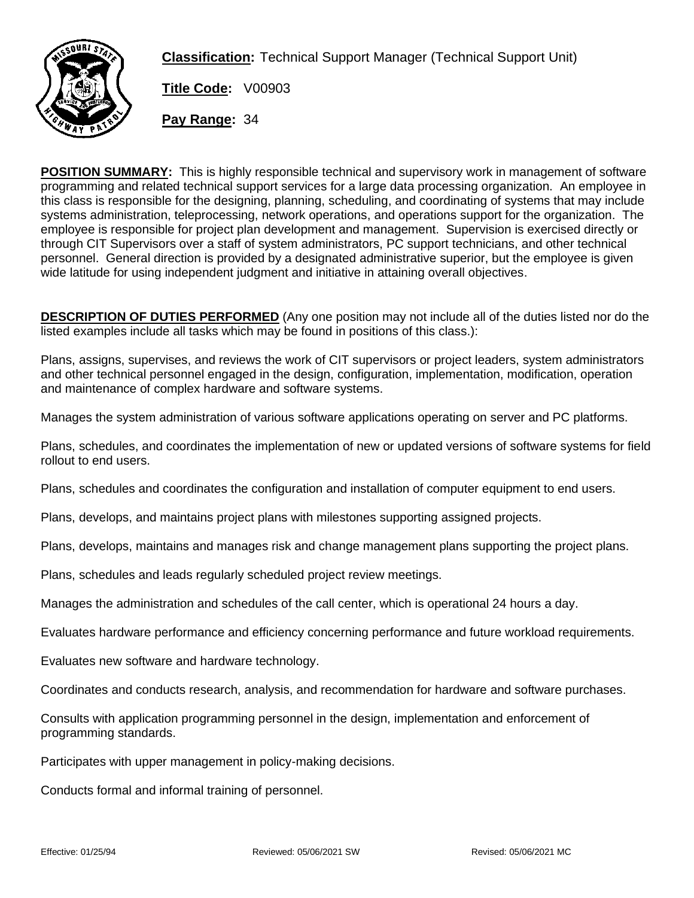

**Classification:** Technical Support Manager (Technical Support Unit)

**Title Code:** V00903

**Pay Range:** 34

**POSITION SUMMARY:** This is highly responsible technical and supervisory work in management of software programming and related technical support services for a large data processing organization. An employee in this class is responsible for the designing, planning, scheduling, and coordinating of systems that may include systems administration, teleprocessing, network operations, and operations support for the organization. The employee is responsible for project plan development and management. Supervision is exercised directly or through CIT Supervisors over a staff of system administrators, PC support technicians, and other technical personnel. General direction is provided by a designated administrative superior, but the employee is given wide latitude for using independent judgment and initiative in attaining overall objectives.

**DESCRIPTION OF DUTIES PERFORMED** (Any one position may not include all of the duties listed nor do the listed examples include all tasks which may be found in positions of this class.):

Plans, assigns, supervises, and reviews the work of CIT supervisors or project leaders, system administrators and other technical personnel engaged in the design, configuration, implementation, modification, operation and maintenance of complex hardware and software systems.

Manages the system administration of various software applications operating on server and PC platforms.

Plans, schedules, and coordinates the implementation of new or updated versions of software systems for field rollout to end users.

Plans, schedules and coordinates the configuration and installation of computer equipment to end users.

Plans, develops, and maintains project plans with milestones supporting assigned projects.

Plans, develops, maintains and manages risk and change management plans supporting the project plans.

Plans, schedules and leads regularly scheduled project review meetings.

Manages the administration and schedules of the call center, which is operational 24 hours a day.

Evaluates hardware performance and efficiency concerning performance and future workload requirements.

Evaluates new software and hardware technology.

Coordinates and conducts research, analysis, and recommendation for hardware and software purchases.

Consults with application programming personnel in the design, implementation and enforcement of programming standards.

Participates with upper management in policy-making decisions.

Conducts formal and informal training of personnel.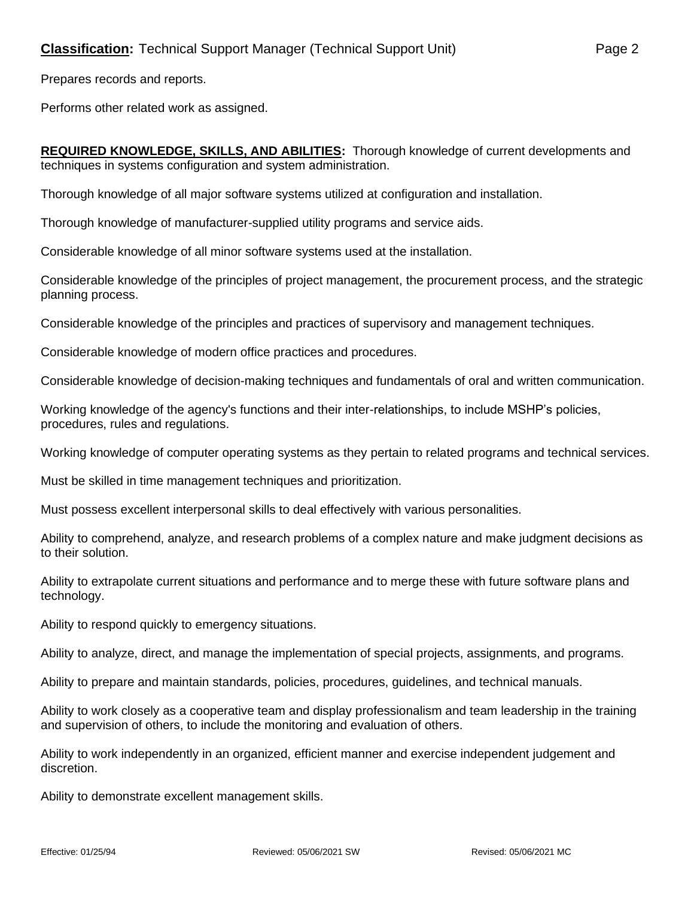Prepares records and reports.

Performs other related work as assigned.

**REQUIRED KNOWLEDGE, SKILLS, AND ABILITIES:** Thorough knowledge of current developments and techniques in systems configuration and system administration.

Thorough knowledge of all major software systems utilized at configuration and installation.

Thorough knowledge of manufacturer-supplied utility programs and service aids.

Considerable knowledge of all minor software systems used at the installation.

Considerable knowledge of the principles of project management, the procurement process, and the strategic planning process.

Considerable knowledge of the principles and practices of supervisory and management techniques.

Considerable knowledge of modern office practices and procedures.

Considerable knowledge of decision-making techniques and fundamentals of oral and written communication.

Working knowledge of the agency's functions and their inter-relationships, to include MSHP's policies, procedures, rules and regulations.

Working knowledge of computer operating systems as they pertain to related programs and technical services.

Must be skilled in time management techniques and prioritization.

Must possess excellent interpersonal skills to deal effectively with various personalities.

Ability to comprehend, analyze, and research problems of a complex nature and make judgment decisions as to their solution.

Ability to extrapolate current situations and performance and to merge these with future software plans and technology.

Ability to respond quickly to emergency situations.

Ability to analyze, direct, and manage the implementation of special projects, assignments, and programs.

Ability to prepare and maintain standards, policies, procedures, guidelines, and technical manuals.

Ability to work closely as a cooperative team and display professionalism and team leadership in the training and supervision of others, to include the monitoring and evaluation of others.

Ability to work independently in an organized, efficient manner and exercise independent judgement and discretion.

Ability to demonstrate excellent management skills.